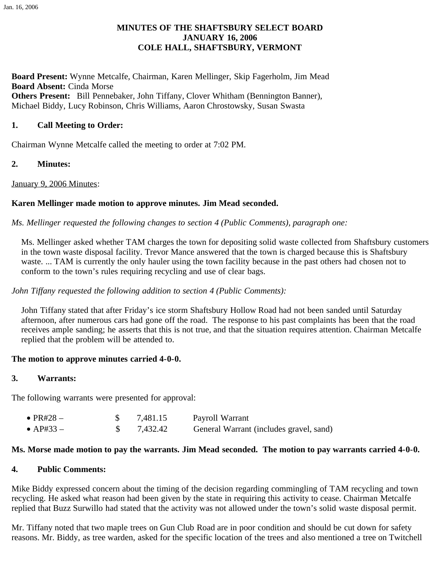# **MINUTES OF THE SHAFTSBURY SELECT BOARD JANUARY 16, 2006 COLE HALL, SHAFTSBURY, VERMONT**

**Board Present:** Wynne Metcalfe, Chairman, Karen Mellinger, Skip Fagerholm, Jim Mead **Board Absent:** Cinda Morse **Others Present:** Bill Pennebaker, John Tiffany, Clover Whitham (Bennington Banner), Michael Biddy, Lucy Robinson, Chris Williams, Aaron Chrostowsky, Susan Swasta

## **1. Call Meeting to Order:**

Chairman Wynne Metcalfe called the meeting to order at 7:02 PM.

**2. Minutes:**

January 9, 2006 Minutes:

## **Karen Mellinger made motion to approve minutes. Jim Mead seconded.**

## *Ms. Mellinger requested the following changes to section 4 (Public Comments), paragraph one:*

Ms. Mellinger asked whether TAM charges the town for depositing solid waste collected from Shaftsbury customers in the town waste disposal facility. Trevor Mance answered that the town is charged because this is Shaftsbury waste. ... TAM is currently the only hauler using the town facility because in the past others had chosen not to conform to the town's rules requiring recycling and use of clear bags.

#### *John Tiffany requested the following addition to section 4 (Public Comments):*

John Tiffany stated that after Friday's ice storm Shaftsbury Hollow Road had not been sanded until Saturday afternoon, after numerous cars had gone off the road. The response to his past complaints has been that the road receives ample sanding; he asserts that this is not true, and that the situation requires attention. Chairman Metcalfe replied that the problem will be attended to.

#### **The motion to approve minutes carried 4-0-0.**

#### **3. Warrants:**

The following warrants were presented for approval:

| $\bullet$ PR#28 $-$ | 7,481.15 | Payroll Warrant                         |
|---------------------|----------|-----------------------------------------|
| $\bullet$ AP#33 –   | 7,432.42 | General Warrant (includes gravel, sand) |

#### **Ms. Morse made motion to pay the warrants. Jim Mead seconded. The motion to pay warrants carried 4-0-0.**

#### **4. Public Comments:**

Mike Biddy expressed concern about the timing of the decision regarding commingling of TAM recycling and town recycling. He asked what reason had been given by the state in requiring this activity to cease. Chairman Metcalfe replied that Buzz Surwillo had stated that the activity was not allowed under the town's solid waste disposal permit.

Mr. Tiffany noted that two maple trees on Gun Club Road are in poor condition and should be cut down for safety reasons. Mr. Biddy, as tree warden, asked for the specific location of the trees and also mentioned a tree on Twitchell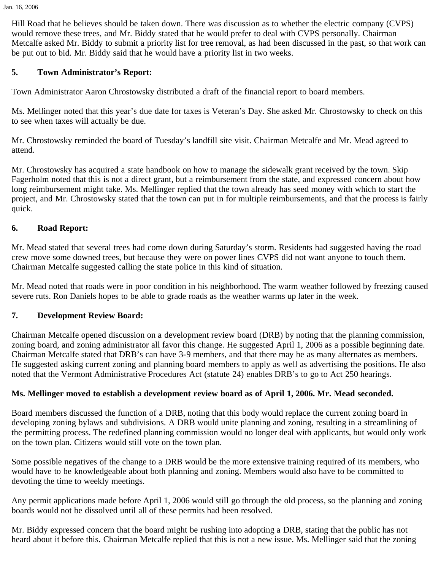Hill Road that he believes should be taken down. There was discussion as to whether the electric company (CVPS) would remove these trees, and Mr. Biddy stated that he would prefer to deal with CVPS personally. Chairman Metcalfe asked Mr. Biddy to submit a priority list for tree removal, as had been discussed in the past, so that work can be put out to bid. Mr. Biddy said that he would have a priority list in two weeks.

# **5. Town Administrator's Report:**

Town Administrator Aaron Chrostowsky distributed a draft of the financial report to board members.

Ms. Mellinger noted that this year's due date for taxes is Veteran's Day. She asked Mr. Chrostowsky to check on this to see when taxes will actually be due.

Mr. Chrostowsky reminded the board of Tuesday's landfill site visit. Chairman Metcalfe and Mr. Mead agreed to attend.

Mr. Chrostowsky has acquired a state handbook on how to manage the sidewalk grant received by the town. Skip Fagerholm noted that this is not a direct grant, but a reimbursement from the state, and expressed concern about how long reimbursement might take. Ms. Mellinger replied that the town already has seed money with which to start the project, and Mr. Chrostowsky stated that the town can put in for multiple reimbursements, and that the process is fairly quick.

# **6. Road Report:**

Mr. Mead stated that several trees had come down during Saturday's storm. Residents had suggested having the road crew move some downed trees, but because they were on power lines CVPS did not want anyone to touch them. Chairman Metcalfe suggested calling the state police in this kind of situation.

Mr. Mead noted that roads were in poor condition in his neighborhood. The warm weather followed by freezing caused severe ruts. Ron Daniels hopes to be able to grade roads as the weather warms up later in the week.

## **7. Development Review Board:**

Chairman Metcalfe opened discussion on a development review board (DRB) by noting that the planning commission, zoning board, and zoning administrator all favor this change. He suggested April 1, 2006 as a possible beginning date. Chairman Metcalfe stated that DRB's can have 3-9 members, and that there may be as many alternates as members. He suggested asking current zoning and planning board members to apply as well as advertising the positions. He also noted that the Vermont Administrative Procedures Act (statute 24) enables DRB's to go to Act 250 hearings.

## **Ms. Mellinger moved to establish a development review board as of April 1, 2006. Mr. Mead seconded.**

Board members discussed the function of a DRB, noting that this body would replace the current zoning board in developing zoning bylaws and subdivisions. A DRB would unite planning and zoning, resulting in a streamlining of the permitting process. The redefined planning commission would no longer deal with applicants, but would only work on the town plan. Citizens would still vote on the town plan.

Some possible negatives of the change to a DRB would be the more extensive training required of its members, who would have to be knowledgeable about both planning and zoning. Members would also have to be committed to devoting the time to weekly meetings.

Any permit applications made before April 1, 2006 would still go through the old process, so the planning and zoning boards would not be dissolved until all of these permits had been resolved.

Mr. Biddy expressed concern that the board might be rushing into adopting a DRB, stating that the public has not heard about it before this. Chairman Metcalfe replied that this is not a new issue. Ms. Mellinger said that the zoning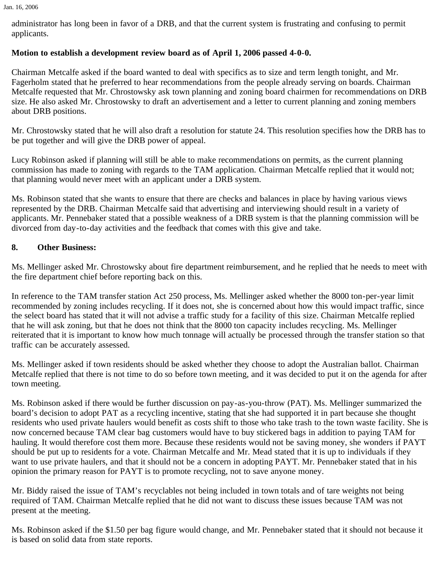Jan. 16, 2006

administrator has long been in favor of a DRB, and that the current system is frustrating and confusing to permit applicants.

# **Motion to establish a development review board as of April 1, 2006 passed 4-0-0.**

Chairman Metcalfe asked if the board wanted to deal with specifics as to size and term length tonight, and Mr. Fagerholm stated that he preferred to hear recommendations from the people already serving on boards. Chairman Metcalfe requested that Mr. Chrostowsky ask town planning and zoning board chairmen for recommendations on DRB size. He also asked Mr. Chrostowsky to draft an advertisement and a letter to current planning and zoning members about DRB positions.

Mr. Chrostowsky stated that he will also draft a resolution for statute 24. This resolution specifies how the DRB has to be put together and will give the DRB power of appeal.

Lucy Robinson asked if planning will still be able to make recommendations on permits, as the current planning commission has made to zoning with regards to the TAM application. Chairman Metcalfe replied that it would not; that planning would never meet with an applicant under a DRB system.

Ms. Robinson stated that she wants to ensure that there are checks and balances in place by having various views represented by the DRB. Chairman Metcalfe said that advertising and interviewing should result in a variety of applicants. Mr. Pennebaker stated that a possible weakness of a DRB system is that the planning commission will be divorced from day-to-day activities and the feedback that comes with this give and take.

# **8. Other Business:**

Ms. Mellinger asked Mr. Chrostowsky about fire department reimbursement, and he replied that he needs to meet with the fire department chief before reporting back on this.

In reference to the TAM transfer station Act 250 process, Ms. Mellinger asked whether the 8000 ton-per-year limit recommended by zoning includes recycling. If it does not, she is concerned about how this would impact traffic, since the select board has stated that it will not advise a traffic study for a facility of this size. Chairman Metcalfe replied that he will ask zoning, but that he does not think that the 8000 ton capacity includes recycling. Ms. Mellinger reiterated that it is important to know how much tonnage will actually be processed through the transfer station so that traffic can be accurately assessed.

Ms. Mellinger asked if town residents should be asked whether they choose to adopt the Australian ballot. Chairman Metcalfe replied that there is not time to do so before town meeting, and it was decided to put it on the agenda for after town meeting.

Ms. Robinson asked if there would be further discussion on pay-as-you-throw (PAT). Ms. Mellinger summarized the board's decision to adopt PAT as a recycling incentive, stating that she had supported it in part because she thought residents who used private haulers would benefit as costs shift to those who take trash to the town waste facility. She is now concerned because TAM clear bag customers would have to buy stickered bags in addition to paying TAM for hauling. It would therefore cost them more. Because these residents would not be saving money, she wonders if PAYT should be put up to residents for a vote. Chairman Metcalfe and Mr. Mead stated that it is up to individuals if they want to use private haulers, and that it should not be a concern in adopting PAYT. Mr. Pennebaker stated that in his opinion the primary reason for PAYT is to promote recycling, not to save anyone money.

Mr. Biddy raised the issue of TAM's recyclables not being included in town totals and of tare weights not being required of TAM. Chairman Metcalfe replied that he did not want to discuss these issues because TAM was not present at the meeting.

Ms. Robinson asked if the \$1.50 per bag figure would change, and Mr. Pennebaker stated that it should not because it is based on solid data from state reports.